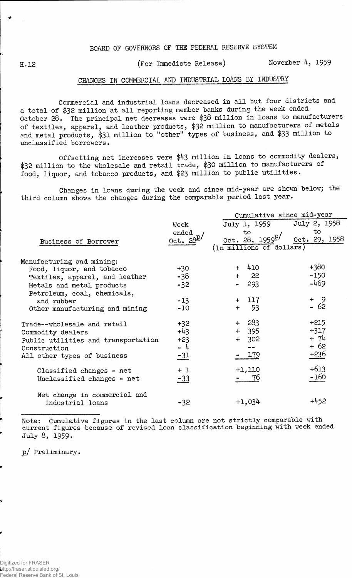## BOARD OF GOVERNORS OF THE FEDERAL RESERVE SYSTEM

H.12 (For Immediate Release) November 4, 1959

## CHANGES IN COMMERCIAL AND INDUSTRIAL LOANS BY INDUSTRY

Commercial and industrial loans decreased in all but four districts and a total of \$32 million at all reporting member banks during the week ended October 28. The principal net decreases were \$38 million in loans to manufacturers of textiles, apparel, and leather products, \$32 million to manufacturers of metals and metal products, \$31 million to "other" types of business, and \$33 million to unclassified borrowers.

Offsetting net increases were \$43 million in loans to commodity dealers, \$32 million to the wholesale and retail trade, \$30 million to manufacturers of food, liquor, and tobacco products, and \$23 million to public utilities.

Changes in loans during the week and since mid-year are shown below; the third column shows the changes during the comparable period last year.

|                                     |                              | Cumulative since mid-year  |               |  |  |  |  |  |
|-------------------------------------|------------------------------|----------------------------|---------------|--|--|--|--|--|
|                                     | Week                         | July 1, 1959               | July 2, 1958  |  |  |  |  |  |
|                                     | ended                        | to                         | to            |  |  |  |  |  |
| Business of Borrower                | $0$ ct. $28^{\underline{p}}$ | 0ct. 28, 1959 <sup>p</sup> | 0ct. 29, 1958 |  |  |  |  |  |
|                                     |                              | (In millions of dollars)   |               |  |  |  |  |  |
| Manufacturing and mining:           |                              |                            |               |  |  |  |  |  |
| Food, liquor, and tobacco           | $+30$                        | + 410                      | $+380$        |  |  |  |  |  |
| Textiles, apparel, and leather      | -38                          | - 22<br>$+$                | $-150$        |  |  |  |  |  |
| Metals and metal products           | $-32$                        | 293                        | $-469$        |  |  |  |  |  |
| Petroleum, coal, chemicals,         |                              |                            |               |  |  |  |  |  |
| and rubber                          | $-13$                        | 117<br>$+$                 | + 9           |  |  |  |  |  |
| Other manufacturing and mining      | $-10$                        | $-53$<br>$+$               | $-62$         |  |  |  |  |  |
| Trade--wholesale and retail         | $+32$                        | 283<br>$+$                 | $+215$        |  |  |  |  |  |
| Commodity dealers                   | $+43$                        | $+ 395$                    | $+317$        |  |  |  |  |  |
| Public utilities and transportation | $+23$                        | 302<br>$+$                 | $+ 74$        |  |  |  |  |  |
| Construction                        | $-4$                         |                            | + 62          |  |  |  |  |  |
| All other types of business         | $-31$                        | 179                        | +236          |  |  |  |  |  |
| Classified changes - net            | $+1$                         | +1,110                     | $+613$        |  |  |  |  |  |
| Unclassified changes - net          | $-33$                        | 76                         | $-160$        |  |  |  |  |  |
| Net change in commercial and        |                              |                            |               |  |  |  |  |  |
| industrial loans                    | $-32$                        | $+1,034$                   | +452          |  |  |  |  |  |

Note: Cumulative figures in the last column are not strictly comparable with current figures because of revised loan classification beginning with week ended July 8, 1959.

p/ Preliminary.

Digitized for FRASER http://fraser.stlouisfed.org/ Federal Reserve Bank of St. Louis